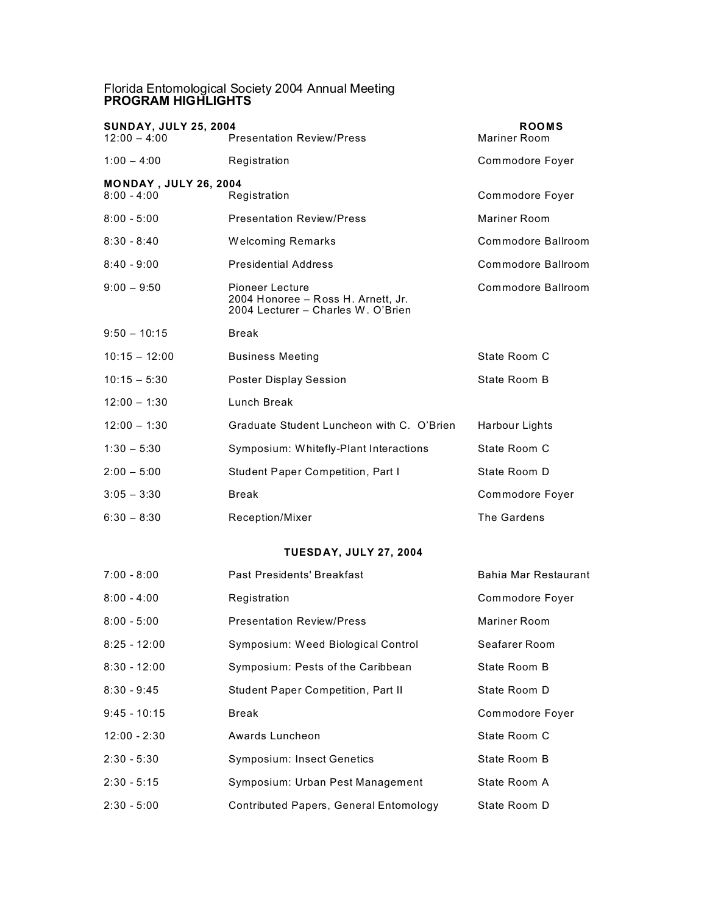## Florida Entomological Society 2004 Annual Meeting **PROGRAM HIGHLIGHTS**

| <b>SUNDAY, JULY 25, 2004</b><br>$12:00 - 4:00$ | <b>Presentation Review/Press</b>                                                            | <b>ROOMS</b><br>Mariner Room |  |
|------------------------------------------------|---------------------------------------------------------------------------------------------|------------------------------|--|
| $1:00 - 4:00$                                  | Registration                                                                                | Commodore Foyer              |  |
| <b>MONDAY, JULY 26, 2004</b>                   |                                                                                             |                              |  |
| $8:00 - 4:00$                                  | Registration                                                                                | Commodore Foyer              |  |
| $8:00 - 5:00$                                  | <b>Presentation Review/Press</b>                                                            | Mariner Room                 |  |
| $8:30 - 8:40$                                  | <b>Welcoming Remarks</b>                                                                    | Commodore Ballroom           |  |
| $8:40 - 9:00$                                  | <b>Presidential Address</b>                                                                 | Commodore Ballroom           |  |
| $9:00 - 9:50$                                  | Pioneer Lecture<br>2004 Honoree - Ross H. Arnett, Jr.<br>2004 Lecturer - Charles W. O'Brien | Commodore Ballroom           |  |
| $9:50 - 10:15$                                 | <b>Break</b>                                                                                |                              |  |
| $10:15 - 12:00$                                | <b>Business Meeting</b>                                                                     | State Room C                 |  |
| $10:15 - 5:30$                                 | Poster Display Session                                                                      | State Room B                 |  |
| $12:00 - 1:30$                                 | Lunch Break                                                                                 |                              |  |
| $12:00 - 1:30$                                 | Graduate Student Luncheon with C. O'Brien                                                   | Harbour Lights               |  |
| $1:30 - 5:30$                                  | Symposium: Whitefly-Plant Interactions                                                      | State Room C                 |  |
| $2:00 - 5:00$                                  | Student Paper Competition, Part I                                                           | State Room D                 |  |
| $3:05 - 3:30$                                  | <b>Break</b>                                                                                | Commodore Foyer              |  |
| $6:30 - 8:30$                                  | Reception/Mixer                                                                             | The Gardens                  |  |
| <b>TUESDAY, JULY 27, 2004</b>                  |                                                                                             |                              |  |
| $7:00 - 8:00$                                  | <b>Past Presidents' Breakfast</b>                                                           | Bahia Mar Restaurant         |  |
| $8:00 - 4:00$                                  | Registration                                                                                | Commodore Foyer              |  |
| $8:00 - 5:00$                                  | <b>Presentation Review/Press</b>                                                            | Mariner Room                 |  |
| $8:25 - 12:00$                                 | Symposium: Weed Biological Control                                                          | Seafarer Room                |  |
| $8:30 - 12:00$                                 | Symposium: Pests of the Caribbean                                                           | State Room B                 |  |
| $8:30 - 9:45$                                  | Student Paper Competition, Part II                                                          | State Room D                 |  |
| $9:45 - 10:15$                                 | Break                                                                                       | Commodore Foyer              |  |

- 12:00 2:30 Awards Luncheon State Room C
- 2:30 5:30 Symposium: Insect Genetics State Room B
- 2:30 5:15 Symposium: Urban Pest Management State Room A 2:30 - 5:00 Contributed Papers, General Entomology State Room D